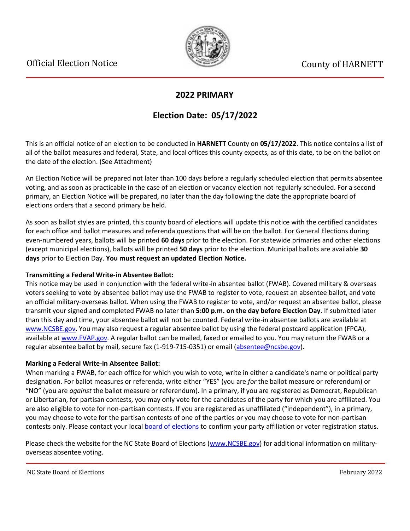

## **2022 PRIMARY**

# **Election Date: 05/17/2022**

This is an official notice of an election to be conducted in **HARNETT** County on **05/17/2022**. This notice contains a list of all of the ballot measures and federal, State, and local offices this county expects, as of this date, to be on the ballot on the date of the election. (See Attachment)

An Election Notice will be prepared not later than 100 days before a regularly scheduled election that permits absentee voting, and as soon as practicable in the case of an election or vacancy election not regularly scheduled. For a second primary, an Election Notice will be prepared, no later than the day following the date the appropriate board of elections orders that a second primary be held.

As soon as ballot styles are printed, this county board of elections will update this notice with the certified candidates for each office and ballot measures and referenda questions that will be on the ballot. For General Elections during even-numbered years, ballots will be printed **60 days** prior to the election. For statewide primaries and other elections (except municipal elections), ballots will be printed **50 days** prior to the election. Municipal ballots are available **30 days** prior to Election Day. **You must request an updated Election Notice.**

### **Transmitting a Federal Write-in Absentee Ballot:**

This notice may be used in conjunction with the federal write-in absentee ballot (FWAB). Covered military & overseas voters seeking to vote by absentee ballot may use the FWAB to register to vote, request an absentee ballot, and vote an official military-overseas ballot. When using the FWAB to register to vote, and/or request an absentee ballot, please transmit your signed and completed FWAB no later than **5:00 p.m. on the day before Election Day**. If submitted later than this day and time, your absentee ballot will not be counted. Federal write-in absentee ballots are available at [www.NCSBE.gov.](https://www.ncsbe.gov/) You may also request a regular absentee ballot by using the federal postcard application (FPCA), available a[t www.FVAP.gov.](https://www.fvap.gov/) A regular ballot can be mailed, faxed or emailed to you. You may return the FWAB or a regular absentee ballot by mail, secure fax (1-919-715-0351) or email (absentee@ncsbe.gov).

### **Marking a Federal Write-in Absentee Ballot:**

When marking a FWAB, for each office for which you wish to vote, write in either a candidate's name or political party designation. For ballot measures or referenda, write either "YES" (you are *for* the ballot measure or referendum) or "NO" (you are *against* the ballot measure or referendum). In a primary, if you are registered as Democrat, Republican or Libertarian, for partisan contests, you may only vote for the candidates of the party for which you are affiliated. You are also eligible to vote for non-partisan contests. If you are registered as unaffiliated ("independent"), in a primary, you may choose to vote for the partisan contests of one of the parties or you may choose to vote for non-partisan contests only. Please contact your local [board of elections](https://vt.ncsbe.gov/BOEInfo/) to confirm your party affiliation or voter registration status.

Please check the website for the NC State Board of Elections [\(www.NCSBE.gov\)](https://www.ncsbe.gov/) for additional information on militaryoverseas absentee voting.

NC State Board of Elections February 2022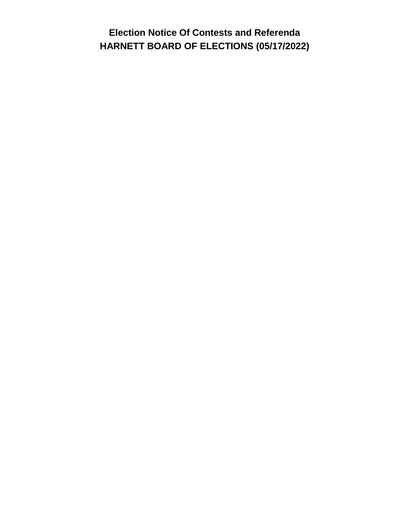**Election Notice Of Contests and Referenda HARNETT BOARD OF ELECTIONS (05/17/2022)**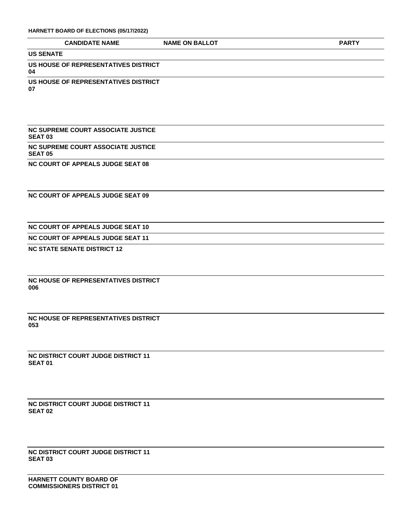#### **HARNETT BOARD OF ELECTIONS (05/17/2022)**

|                  | <b>CANDIDATE NAME</b> | <b>NAME ON BALLOT</b> | <b>PART</b> |
|------------------|-----------------------|-----------------------|-------------|
| <b>US SENATE</b> |                       |                       |             |

**US HOUSE OF REPRESENTATIVES DISTRICT 04**

**US HOUSE OF REPRESENTATIVES DISTRICT** 

**07**

**NC SUPREME COURT ASSOCIATE JUSTICE SEAT 03 NC SUPREME COURT ASSOCIATE JUSTICE** 

**SEAT 05**

**NC COURT OF APPEALS JUDGE SEAT 08**

**NC COURT OF APPEALS JUDGE SEAT 09**

**NC COURT OF APPEALS JUDGE SEAT 10**

**NC COURT OF APPEALS JUDGE SEAT 11**

**NC STATE SENATE DISTRICT 12**

**NC HOUSE OF REPRESENTATIVES DISTRICT 006**

**NC HOUSE OF REPRESENTATIVES DISTRICT 053**

**NC DISTRICT COURT JUDGE DISTRICT 11 SEAT 01**

**NC DISTRICT COURT JUDGE DISTRICT 11 SEAT 02**

**NC DISTRICT COURT JUDGE DISTRICT 11 SEAT 03**

**HARNETT COUNTY BOARD OF COMMISSIONERS DISTRICT 01**